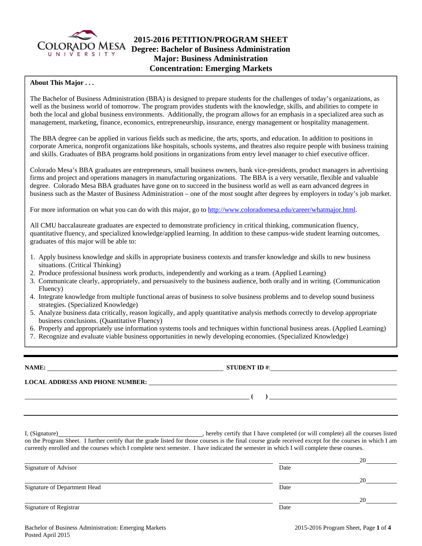

# **2015-2016 PETITION/PROGRAM SHEET**  COLORADO MESA **Degree: Bachelor of Business Administration Major: Business Administration Concentration: Emerging Markets**

#### **About This Major . . .**

The Bachelor of Business Administration (BBA) is designed to prepare students for the challenges of today's organizations, as well as the business world of tomorrow. The program provides students with the knowledge, skills, and abilities to compete in both the local and global business environments. Additionally, the program allows for an emphasis in a specialized area such as management, marketing, finance, economics, entrepreneurship, insurance, energy management or hospitality management.

The BBA degree can be applied in various fields such as medicine, the arts, sports, and education. In addition to positions in corporate America, nonprofit organizations like hospitals, schools systems, and theatres also require people with business training and skills. Graduates of BBA programs hold positions in organizations from entry level manager to chief executive officer.

Colorado Mesa's BBA graduates are entrepreneurs, small business owners, bank vice-presidents, product managers in advertising firms and project and operations managers in manufacturing organizations. The BBA is a very versatile, flexible and valuable degree. Colorado Mesa BBA graduates have gone on to succeed in the business world as well as earn advanced degrees in business such as the Master of Business Administration – one of the most sought after degrees by employers in today's job market.

For more information on what you can do with this major, go to http://www.coloradomesa.edu/career/whatmajor.html.

All CMU baccalaureate graduates are expected to demonstrate proficiency in critical thinking, communication fluency, quantitative fluency, and specialized knowledge/applied learning. In addition to these campus-wide student learning outcomes, graduates of this major will be able to:

- 1. Apply business knowledge and skills in appropriate business contexts and transfer knowledge and skills to new business situations. (Critical Thinking)
- 2. Produce professional business work products, independently and working as a team. (Applied Learning)
- 3. Communicate clearly, appropriately, and persuasively to the business audience, both orally and in writing. (Communication Fluency)
- 4. Integrate knowledge from multiple functional areas of business to solve business problems and to develop sound business strategies. (Specialized Knowledge)
- 5. Analyze business data critically, reason logically, and apply quantitative analysis methods correctly to develop appropriate business conclusions. (Quantitative Fluency)
- 6. Properly and appropriately use information systems tools and techniques within functional business areas. (Applied Learning)
- 7. Recognize and evaluate viable business opportunities in newly developing economies. (Specialized Knowledge)

**NAME: STUDENT ID** #: **LOCAL ADDRESS AND PHONE NUMBER: ( )** 

I, (Signature) , hereby certify that I have completed (or will complete) all the courses listed on the Program Sheet. I further certify that the grade listed for those courses is the final course grade received except for the courses in which I am currently enrolled and the courses which I complete next semester. I have indicated the semester in which I will complete these courses.

|                              |      | 20 |
|------------------------------|------|----|
| Signature of Advisor         | Date |    |
|                              |      | 20 |
| Signature of Department Head | Date |    |
|                              |      | 20 |
| Signature of Registrar       | Date |    |

Bachelor of Business Administration: Emerging Markets 2015-2016 Program Sheet, Page **1** of **4** Posted April 2015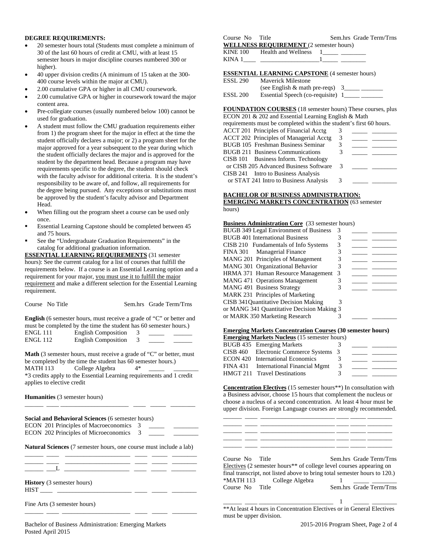#### **DEGREE REQUIREMENTS:**

- 20 semester hours total (Students must complete a minimum of 30 of the last 60 hours of credit at CMU, with at least 15 semester hours in major discipline courses numbered 300 or higher).
- 40 upper division credits (A minimum of 15 taken at the 300- 400 course levels within the major at CMU).
- 2.00 cumulative GPA or higher in all CMU coursework.
- 2.00 cumulative GPA or higher in coursework toward the major content area.
- Pre-collegiate courses (usually numbered below 100) cannot be used for graduation.
- A student must follow the CMU graduation requirements either from 1) the program sheet for the major in effect at the time the student officially declares a major; or 2) a program sheet for the major approved for a year subsequent to the year during which the student officially declares the major and is approved for the student by the department head. Because a program may have requirements specific to the degree, the student should check with the faculty advisor for additional criteria. It is the student's responsibility to be aware of, and follow, all requirements for the degree being pursued. Any exceptions or substitutions must be approved by the student's faculty advisor and Department Head.
- When filling out the program sheet a course can be used only once.
- Essential Learning Capstone should be completed between 45 and 75 hours.
- See the "Undergraduate Graduation Requirements" in the catalog for additional graduation information.

**ESSENTIAL LEARNING REQUIREMENTS** (31 semester hours): See the current catalog for a list of courses that fulfill the requirements below. If a course is an Essential Learning option and a requirement for your major, you must use it to fulfill the major requirement and make a different selection for the Essential Learning requirement.

| Course No Title | Sem.hrs Grade Term/Trns |
|-----------------|-------------------------|
|-----------------|-------------------------|

**English** (6 semester hours, must receive a grade of "C" or better and must be completed by the time the student has 60 semester hours.)

| ENGL 111 | <b>English Composition</b> |  |  |
|----------|----------------------------|--|--|
| ENGL 112 | <b>English Composition</b> |  |  |

**Math** (3 semester hours, must receive a grade of "C" or better, must be completed by the time the student has 60 semester hours.)<br>MATH 113 College Algebra  $4*$ College Algebra \*3 credits apply to the Essential Learning requirements and 1 credit

applies to elective credit

\_\_\_\_\_\_ \_\_\_\_ \_\_\_\_\_\_\_\_\_\_\_\_\_\_\_\_\_\_\_\_\_\_ \_\_\_\_ \_\_\_\_\_ \_\_\_\_\_\_\_\_

**Humanities** (3 semester hours)

| <b>Social and Behavioral Sciences</b> (6 semester hours)                  |
|---------------------------------------------------------------------------|
| ECON 201 Principles of Macroeconomics 3                                   |
| ECON 202 Principles of Microeconomics 3                                   |
| <b>Natural Sciences</b> (7 semester hours, one course must include a lab) |

\_\_\_\_\_\_ \_\_\_L \_\_\_\_\_\_\_\_\_\_\_\_\_\_\_\_\_\_\_\_\_ \_\_\_\_ \_\_\_\_\_ \_\_\_\_\_\_\_\_

**History** (3 semester hours) HIST \_\_\_\_ \_\_\_\_\_\_\_\_\_\_\_\_\_\_\_\_\_\_\_\_\_\_\_\_ \_\_\_\_ \_\_\_\_\_ \_\_\_\_\_\_\_\_

Fine Arts (3 semester hours)

Bachelor of Business Administration: Emerging Markets 2015-2016 Program Sheet, Page 2 of 4 Posted April 2015 \_\_\_\_\_\_ \_\_\_\_ \_\_\_\_\_\_\_\_\_\_\_\_\_\_\_\_\_\_\_\_\_\_ \_\_\_\_ \_\_\_\_\_ \_\_\_\_\_\_\_\_

| Course No Title |                                                | Sem.hrs Grade Term/Trns |
|-----------------|------------------------------------------------|-------------------------|
|                 | <b>WELLNESS REQUIREMENT</b> (2 semester hours) |                         |
| KINE 100        | Health and Wellness                            |                         |
| KINA 1          |                                                |                         |

**ESSENTIAL LEARNING CAPSTONE** (4 semester hours)

| <b>ESSL 290</b> | <b>Maverick Milestone</b>          |  |
|-----------------|------------------------------------|--|
|                 | (see English $\&$ math pre-reqs) 3 |  |
| <b>ESSL 200</b> | Essential Speech (co-requisite) 1  |  |

### **FOUNDATION COURSES** (18 semester hours) These courses, plus

| ECON 201 & 202 and Essential Learning English & Math                |  |
|---------------------------------------------------------------------|--|
| requirements must be completed within the student's first 60 hours. |  |

| ACCT 201 Principles of Financial Acctg  |               |  |
|-----------------------------------------|---------------|--|
| ACCT 202 Principles of Managerial Acctg | 3             |  |
| BUGB 105 Freshman Business Seminar      |               |  |
| <b>BUGB 211 Business Communications</b> | 3             |  |
| CISB 101 Business Inform. Technology    |               |  |
| or CISB 205 Advanced Business Software  | $\mathcal{R}$ |  |
| CISB 241 Intro to Business Analysis     |               |  |
| or STAT 241 Intro to Business Analysis  | 3             |  |

#### **BACHELOR OF BUSINESS ADMINISTRATION: EMERGING MARKETS CONCENTRATION** (63 semester

hours)

#### **Business Administration Core** (33 semester hours)

| <b>BUGB 349 Legal Environment of Business</b> | 3 |  |
|-----------------------------------------------|---|--|
| <b>BUGB 401 International Business</b>        |   |  |
| CISB 210 Fundamentals of Info Systems         | 3 |  |
| FINA 301 Managerial Finance                   |   |  |
| MANG 201 Principles of Management             |   |  |
| MANG 301 Organizational Behavior              | 3 |  |
| HRMA 371 Human Resource Management 3          |   |  |
| <b>MANG 471 Operations Management</b>         |   |  |
| MANG 491 Business Strategy                    |   |  |
| MARK 231 Principles of Marketing              |   |  |
| CISB 341 Quantitative Decision Making         | 3 |  |
| or MANG 341 Quantitative Decision Making 3    |   |  |
| or MARK 350 Marketing Research                |   |  |

#### **Emerging Markets Concentration Courses (30 semester hours)**

| <b>Emerging Markets Nucleus</b> (15 semester hours) |                                        |   |  |  |
|-----------------------------------------------------|----------------------------------------|---|--|--|
|                                                     | BUGB 435 Emerging Markets              |   |  |  |
|                                                     | CISB 460 Electronic Commerce Systems 3 |   |  |  |
|                                                     | ECON 420 International Economics       |   |  |  |
|                                                     | FINA 431 International Financial Mgmt  | 3 |  |  |
|                                                     | HMGT 211 Travel Destinations           |   |  |  |

**Concentration Electives** (15 semester hours\*\*) In consultation with a Business advisor, choose 15 hours that complement the nucleus or choose a nucleus of a second concentration. At least 4 hour must be upper division. Foreign Language courses are strongly recommended.

\_\_\_\_\_\_ \_\_\_\_ \_\_\_\_\_\_\_\_\_\_\_\_\_\_\_\_\_\_\_\_\_\_\_\_ \_\_\_\_ \_\_\_\_\_ \_\_\_\_\_\_\_\_ \_\_\_\_\_\_ \_\_\_\_ \_\_\_\_\_\_\_\_\_\_\_\_\_\_\_\_\_\_\_\_\_\_\_\_ \_\_\_\_ \_\_\_\_\_ \_\_\_\_\_\_\_\_ \_\_\_\_\_\_ \_\_\_\_ \_\_\_\_\_\_\_\_\_\_\_\_\_\_\_\_\_\_\_\_\_\_\_\_ \_\_\_\_ \_\_\_\_\_ \_\_\_\_\_\_\_\_

| Course No. Title                                                                | Sem.hrs Grade Term/Trns |
|---------------------------------------------------------------------------------|-------------------------|
| Electives (2 semester hours <sup>**</sup> of college level courses appearing on |                         |
| final transcript, not listed above to bring total semester hours to 120.)       |                         |
| *MATH 113 College Algebra                                                       |                         |
| Course No Title                                                                 | Sem.hrs Grade Term/Trns |

\_\_\_\_\_\_ \_\_\_\_ \_\_\_\_\_\_\_\_\_\_\_\_\_\_\_\_\_\_\_\_\_\_\_\_ 1 \_\_\_\_\_ \_\_\_\_\_\_\_\_ \*\*At least 4 hours in Concentration Electives or in General Electives must be upper division.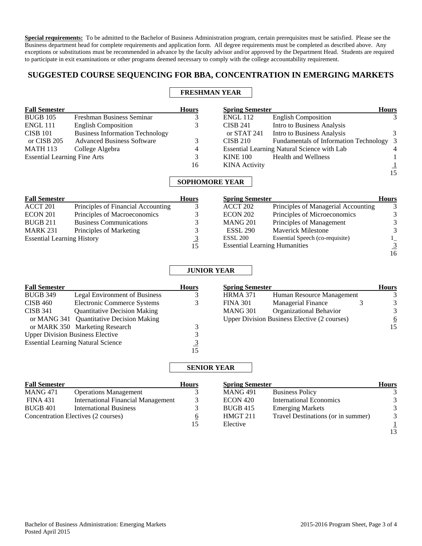**Special requirements:** To be admitted to the Bachelor of Business Administration program, certain prerequisites must be satisfied. Please see the Business department head for complete requirements and application form. All degree requirements must be completed as described above. Any exceptions or substitutions must be recommended in advance by the faculty advisor and/or approved by the Department Head. Students are required to participate in exit examinations or other programs deemed necessary to comply with the college accountability requirement.

# **SUGGESTED COURSE SEQUENCING FOR BBA, CONCENTRATION IN EMERGING MARKETS**

# **FRESHMAN YEAR**

| <b>Fall Semester</b>                |                                        | <b>Hours</b> | <b>Spring Semester</b> |                                             | <b>Hours</b>   |
|-------------------------------------|----------------------------------------|--------------|------------------------|---------------------------------------------|----------------|
| <b>BUGB 105</b>                     | Freshman Business Seminar              | 3            | <b>ENGL 112</b>        | <b>English Composition</b>                  | 3              |
| <b>ENGL 111</b>                     | <b>English Composition</b>             |              | <b>CISB 241</b>        | Intro to Business Analysis                  |                |
| <b>CISB 101</b>                     | <b>Business Information Technology</b> |              | or STAT 241            | Intro to Business Analysis                  | 3              |
| or CISB 205                         | <b>Advanced Business Software</b>      | 3            | <b>CISB 210</b>        | Fundamentals of Information Technology 3    |                |
| <b>MATH 113</b>                     | College Algebra                        | 4            |                        | Essential Learning Natural Science with Lab | $\overline{4}$ |
| <b>Essential Learning Fine Arts</b> |                                        | 3            | <b>KINE 100</b>        | <b>Health and Wellness</b>                  |                |
|                                     |                                        | 16           | <b>KINA</b> Activity   |                                             |                |
|                                     |                                        |              |                        |                                             | 15             |

# **SOPHOMORE YEAR**

| <b>Fall Semester</b>              |                                    | <b>Hours</b> | <b>Spring Semester</b>        |       |
|-----------------------------------|------------------------------------|--------------|-------------------------------|-------|
| ACCT 201                          | Principles of Financial Accounting |              | ACCT 202                      | Princ |
| <b>ECON 201</b>                   | Principles of Macroeconomics       | 3            | <b>ECON 202</b>               | Princ |
| <b>BUGB 211</b>                   | <b>Business Communications</b>     | 3            | <b>MANG 201</b>               | Princ |
| <b>MARK 231</b>                   | Principles of Marketing            | 3            | <b>ESSL 290</b>               | Mave  |
| <b>Essential Learning History</b> |                                    | <u>3</u>     | <b>ESSL 200</b>               | Essen |
|                                   |                                    | 15           | <b>Essential Learning Hur</b> |       |

| <b>Spring Semester</b>               |                                     | <b>Hours</b> |
|--------------------------------------|-------------------------------------|--------------|
| ACCT 202                             | Principles of Managerial Accounting |              |
| <b>ECON 202</b>                      | Principles of Microeconomics        |              |
| <b>MANG 201</b>                      | Principles of Management            |              |
| <b>ESSL 290</b>                      | <b>Maverick Milestone</b>           |              |
| <b>ESSL 200</b>                      | Essential Speech (co-requisite)     |              |
| <b>Essential Learning Humanities</b> |                                     | 3            |
|                                      |                                     |              |

## **JUNIOR YEAR**

| <b>Fall Semester</b>                      |                                      | <b>Hours</b> | <b>Spring Semester</b>                              |                           | <b>Hours</b>    |
|-------------------------------------------|--------------------------------------|--------------|-----------------------------------------------------|---------------------------|-----------------|
| <b>BUGB 349</b>                           | <b>Legal Environment of Business</b> |              | <b>HRMA 371</b>                                     | Human Resource Management |                 |
| <b>CISB 460</b>                           | Electronic Commerce Systems          |              | <b>FINA 301</b>                                     | <b>Managerial Finance</b> | 3               |
| <b>CISB 341</b>                           | <b>Quantitative Decision Making</b>  |              | <b>MANG 301</b>                                     | Organizational Behavior   | 3               |
| or MANG 341 Quantitative Decision Making  |                                      |              | <b>Upper Division Business Elective (2 courses)</b> |                           | $\underline{6}$ |
|                                           | or MARK 350 Marketing Research       |              |                                                     |                           | 15              |
| <b>Upper Division Business Elective</b>   |                                      |              |                                                     |                           |                 |
| <b>Essential Learning Natural Science</b> |                                      |              |                                                     |                           |                 |
|                                           |                                      | 15           |                                                     |                           |                 |

### **SENIOR YEAR**

| <b>Fall Semester</b>                |                                           | <b>Hours</b> | <b>Spring Semester</b> |                                    | <b>Hours</b> |
|-------------------------------------|-------------------------------------------|--------------|------------------------|------------------------------------|--------------|
| <b>MANG 471</b>                     | <b>Operations Management</b>              |              | <b>MANG 491</b>        | <b>Business Policy</b>             |              |
| <b>FINA 431</b>                     | <b>International Financial Management</b> |              | ECON 420               | <b>International Economics</b>     | 3            |
| <b>BUGB 401</b>                     | <b>International Business</b>             |              | <b>BUGB 415</b>        | <b>Emerging Markets</b>            |              |
| Concentration Electives (2 courses) |                                           | b            | HMGT 211               | Travel Destinations (or in summer) | 3            |
|                                     |                                           | 15           | Elective               |                                    |              |
|                                     |                                           |              |                        |                                    | 13           |